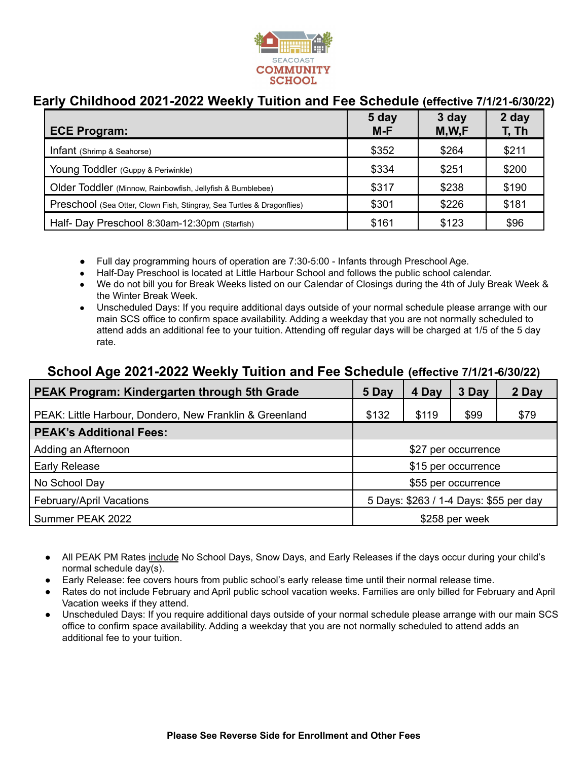

# **Early Childhood 2021-2022 Weekly Tuition and Fee Schedule (effective 7/1/21-6/30/22)**

| <b>ECE Program:</b>                                                    | 5 day<br>$M-F$ | 3 day<br>M,W,F | 2 day<br>T, Th |
|------------------------------------------------------------------------|----------------|----------------|----------------|
| Infant (Shrimp & Seahorse)                                             | \$352          | \$264          | \$211          |
| Young Toddler (Guppy & Periwinkle)                                     | \$334          | \$251          | \$200          |
| Older Toddler (Minnow, Rainbowfish, Jellyfish & Bumblebee)             | \$317          | \$238          | \$190          |
| Preschool (Sea Otter, Clown Fish, Stingray, Sea Turtles & Dragonflies) | \$301          | \$226          | \$181          |
| Half- Day Preschool 8:30am-12:30pm (Starfish)                          | \$161          | \$123          | \$96           |

- Full day programming hours of operation are 7:30-5:00 Infants through Preschool Age.
- Half-Day Preschool is located at Little Harbour School and follows the public school calendar.
- We do not bill you for Break Weeks listed on our Calendar of Closings during the 4th of July Break Week & the Winter Break Week.
- Unscheduled Days: If you require additional days outside of your normal schedule please arrange with our main SCS office to confirm space availability. Adding a weekday that you are not normally scheduled to attend adds an additional fee to your tuition. Attending off regular days will be charged at 1/5 of the 5 day rate.

### **School Age 2021-2022 Weekly Tuition and Fee Schedule (effective 7/1/21-6/30/22)**

| <b>PEAK Program: Kindergarten through 5th Grade</b>     | 5 Day                                  | 4 Day | 3 Day | 2 Day |  |
|---------------------------------------------------------|----------------------------------------|-------|-------|-------|--|
| PEAK: Little Harbour, Dondero, New Franklin & Greenland | \$132                                  | \$119 | \$99  | \$79  |  |
| <b>PEAK's Additional Fees:</b>                          |                                        |       |       |       |  |
| Adding an Afternoon                                     | \$27 per occurrence                    |       |       |       |  |
| <b>Early Release</b>                                    | \$15 per occurrence                    |       |       |       |  |
| No School Day                                           | \$55 per occurrence                    |       |       |       |  |
| February/April Vacations                                | 5 Days: \$263 / 1-4 Days: \$55 per day |       |       |       |  |
| Summer PEAK 2022                                        | \$258 per week                         |       |       |       |  |

- All PEAK PM Rates include No School Days, Snow Days, and Early Releases if the days occur during your child's normal schedule day(s).
- Early Release: fee covers hours from public school's early release time until their normal release time.
- Rates do not include February and April public school vacation weeks. Families are only billed for February and April Vacation weeks if they attend.
- Unscheduled Days: If you require additional days outside of your normal schedule please arrange with our main SCS office to confirm space availability. Adding a weekday that you are not normally scheduled to attend adds an additional fee to your tuition.